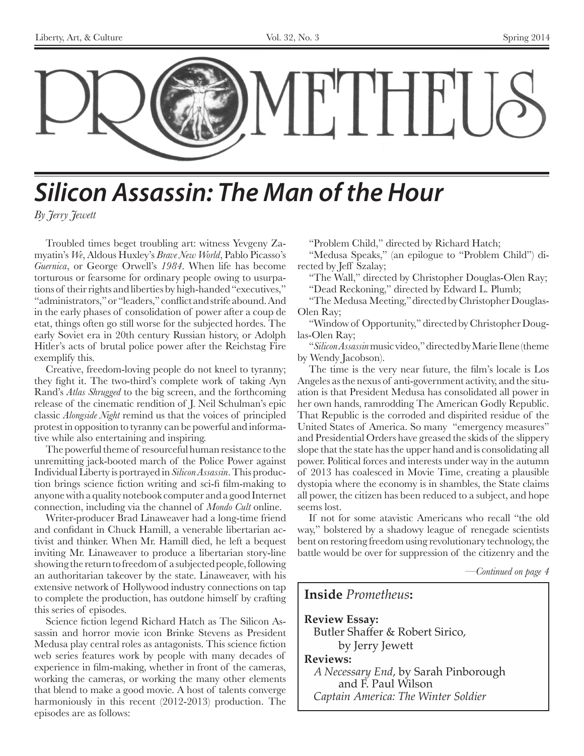

# **Silicon Assassin: The Man of the Hour**

*By Jerry Jewett*

Troubled times beget troubling art: witness Yevgeny Zamyatin's *We*, Aldous Huxley's *Brave New World*, Pablo Picasso's *Guernica*, or George Orwell's *1984*. When life has become torturous or fearsome for ordinary people owing to usurpations of their rights and liberties by high-handed "executives," "administrators," or "leaders," conflict and strife abound. And in the early phases of consolidation of power after a coup de etat, things often go still worse for the subjected hordes. The early Soviet era in 20th century Russian history, or Adolph Hitler's acts of brutal police power after the Reichstag Fire exemplify this.

Creative, freedom-loving people do not kneel to tyranny; they fight it. The two-third's complete work of taking Ayn Rand's *Atlas Shrugged* to the big screen, and the forthcoming release of the cinematic rendition of J. Neil Schulman's epic classic *Alongside Night* remind us that the voices of principled protest in opposition to tyranny can be powerful and informative while also entertaining and inspiring.

The powerful theme of resourceful human resistance to the unremitting jack-booted march of the Police Power against Individual Liberty is portrayed in *Silicon Assassin*. This production brings science fiction writing and sci-fi film-making to anyone with a quality notebook computer and a good Internet connection, including via the channel of *Mondo Cult* online.

Writer-producer Brad Linaweaver had a long-time friend and confidant in Chuck Hamill, a venerable libertarian activist and thinker. When Mr. Hamill died, he left a bequest inviting Mr. Linaweaver to produce a libertarian story-line showing the return to freedom of a subjected people, following an authoritarian takeover by the state. Linaweaver, with his extensive network of Hollywood industry connections on tap to complete the production, has outdone himself by crafting this series of episodes.

Science fiction legend Richard Hatch as The Silicon Assassin and horror movie icon Brinke Stevens as President Medusa play central roles as antagonists. This science fiction web series features work by people with many decades of experience in film-making, whether in front of the cameras, working the cameras, or working the many other elements that blend to make a good movie. A host of talents converge harmoniously in this recent (2012-2013) production. The episodes are as follows:

"Problem Child," directed by Richard Hatch;

"Medusa Speaks," (an epilogue to "Problem Child") directed by Jeff Szalay;

"The Wall," directed by Christopher Douglas-Olen Ray; "Dead Reckoning," directed by Edward L. Plumb;

"The Medusa Meeting," directed by Christopher Douglas-Olen Ray;

"Window of Opportunity," directed by Christopher Douglas-Olen Ray;

"*Silicon Assassin* music video," directed by Marie Ilene (theme by Wendy Jacobson).

The time is the very near future, the film's locale is Los Angeles as the nexus of anti-government activity, and the situation is that President Medusa has consolidated all power in her own hands, ramrodding The American Godly Republic. That Republic is the corroded and dispirited residue of the United States of America. So many "emergency measures" and Presidential Orders have greased the skids of the slippery slope that the state has the upper hand and is consolidating all power. Political forces and interests under way in the autumn of 2013 has coalesced in Movie Time, creating a plausible dystopia where the economy is in shambles, the State claims all power, the citizen has been reduced to a subject, and hope seems lost.

If not for some atavistic Americans who recall "the old way," bolstered by a shadowy league of renegade scientists bent on restoring freedom using revolutionary technology, the battle would be over for suppression of the citizenry and the

*—Continued on page 4*

**Inside** *Prometheus***: Review Essay:** Butler Shaffer & Robert Sirico, by Jerry Jewett **Reviews:** *A Necessary End*, by Sarah Pinborough and F. Paul Wilson *Captain America: The Winter Soldier*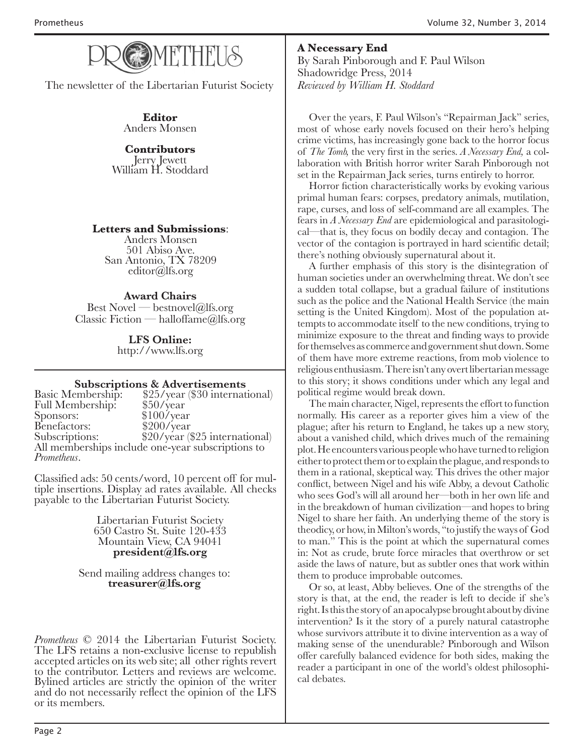

The newsletter of the Libertarian Futurist Society

**Editor** Anders Monsen

## **Contributors**

Jerry Jewett William H. Stoddard

## **Letters and Submissions**:

Anders Monsen 501 Abiso Ave. San Antonio, TX 78209 editor@lfs.org

## **Award Chairs**

 $Best$  Novel — bestnovel@lfs.org Classic Fiction — halloffame@lfs.org

> **LFS Online:** http://www.lfs.org

## **Subscriptions & Advertisements**

Basic Membership: \$25/year (\$30 international) Full Membership: \$50/year<br>Sponsors: \$100/year \$100/year<br>\$200/year Benefactors:<br>Subscriptions: \$20/year (\$25 international) All memberships include one-year subscriptions to *Prometheus*.

Classified ads: 50 cents/word, 10 percent off for mul- tiple insertions. Display ad rates available. All checks payable to the Libertarian Futurist Society.

> Libertarian Futurist Society 650 Castro St. Suite 120-433 Mountain View, CA 94041 **president@lfs.org**

Send mailing address changes to: **treasurer@lfs.org**

*Prometheus* © 2014 the Libertarian Futurist Society.<br>The LFS retains a non-exclusive license to republish accepted articles on its web site; all other rights revert to the contributor. Letters and reviews are welcome. Bylined articles are strictly the opinion of the writer and do not necessarily reflect the opinion of the LFS or its members.

**A Necessary End** By Sarah Pinborough and F. Paul Wilson Shadowridge Press, 2014 *Reviewed by William H. Stoddard*

Over the years, F. Paul Wilson's "Repairman Jack" series, most of whose early novels focused on their hero's helping crime victims, has increasingly gone back to the horror focus of *The Tomb,* the very first in the series. *A Necessary End,* a collaboration with British horror writer Sarah Pinborough not set in the Repairman Jack series, turns entirely to horror.

Horror fiction characteristically works by evoking various primal human fears: corpses, predatory animals, mutilation, rape, curses, and loss of self-command are all examples. The fears in *A Necessary End* are epidemiological and parasitological—that is, they focus on bodily decay and contagion. The vector of the contagion is portrayed in hard scientific detail; there's nothing obviously supernatural about it.

A further emphasis of this story is the disintegration of human societies under an overwhelming threat. We don't see a sudden total collapse, but a gradual failure of institutions such as the police and the National Health Service (the main setting is the United Kingdom). Most of the population attempts to accommodate itself to the new conditions, trying to minimize exposure to the threat and finding ways to provide for themselves as commerce and government shut down. Some of them have more extreme reactions, from mob violence to religious enthusiasm. There isn't any overt libertarian message to this story; it shows conditions under which any legal and political regime would break down.

The main character, Nigel, represents the effort to function normally. His career as a reporter gives him a view of the plague; after his return to England, he takes up a new story, about a vanished child, which drives much of the remaining plot. He encounters various people who have turned to religion either to protect them or to explain the plague, and responds to them in a rational, skeptical way. This drives the other major conflict, between Nigel and his wife Abby, a devout Catholic who sees God's will all around her—both in her own life and in the breakdown of human civilization—and hopes to bring Nigel to share her faith. An underlying theme of the story is theodicy, or how, in Milton's words, "to justify the ways of God to man." This is the point at which the supernatural comes in: Not as crude, brute force miracles that overthrow or set aside the laws of nature, but as subtler ones that work within them to produce improbable outcomes.

Or so, at least, Abby believes. One of the strengths of the story is that, at the end, the reader is left to decide if she's right. Is this the story of an apocalypse brought about by divine intervention? Is it the story of a purely natural catastrophe whose survivors attribute it to divine intervention as a way of making sense of the unendurable? Pinborough and Wilson offer carefully balanced evidence for both sides, making the reader a participant in one of the world's oldest philosophical debates.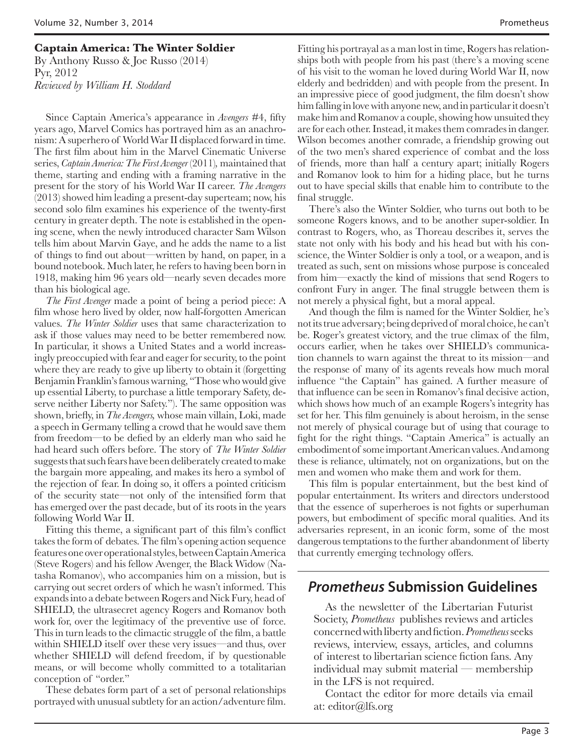#### **Captain America: The Winter Soldier**

By Anthony Russo & Joe Russo (2014) Pyr, 2012 *Reviewed by William H. Stoddard*

Since Captain America's appearance in *Avengers* #4, fifty years ago, Marvel Comics has portrayed him as an anachronism: A superhero of World War II displaced forward in time. The first film about him in the Marvel Cinematic Universe series, *Captain America: The First Avenger* (2011)*,* maintained that theme, starting and ending with a framing narrative in the present for the story of his World War II career. *The Avengers*  (2013) showed him leading a present-day superteam; now, his second solo film examines his experience of the twenty-first century in greater depth. The note is established in the opening scene, when the newly introduced character Sam Wilson tells him about Marvin Gaye, and he adds the name to a list of things to find out about—written by hand, on paper, in a bound notebook. Much later, he refers to having been born in 1918, making him 96 years old—nearly seven decades more than his biological age.

*The First Avenger* made a point of being a period piece: A film whose hero lived by older, now half-forgotten American values. *The Winter Soldier* uses that same characterization to ask if those values may need to be better remembered now. In particular, it shows a United States and a world increasingly preoccupied with fear and eager for security, to the point where they are ready to give up liberty to obtain it (forgetting Benjamin Franklin's famous warning, "Those who would give up essential Liberty, to purchase a little temporary Safety, deserve neither Liberty nor Safety."). The same opposition was shown, briefly, in *The Avengers,* whose main villain, Loki, made a speech in Germany telling a crowd that he would save them from freedom—to be defied by an elderly man who said he had heard such offers before. The story of *The Winter Soldier*  suggests that such fears have been deliberately created to make the bargain more appealing, and makes its hero a symbol of the rejection of fear. In doing so, it offers a pointed criticism of the security state—not only of the intensified form that has emerged over the past decade, but of its roots in the years following World War II.

Fitting this theme, a significant part of this film's conflict takes the form of debates. The film's opening action sequence features one over operational styles, between Captain America (Steve Rogers) and his fellow Avenger, the Black Widow (Natasha Romanov), who accompanies him on a mission, but is carrying out secret orders of which he wasn't informed. This expands into a debate between Rogers and Nick Fury, head of SHIELD, the ultrasecret agency Rogers and Romanov both work for, over the legitimacy of the preventive use of force. This in turn leads to the climactic struggle of the film, a battle within SHIELD itself over these very issues—and thus, over whether SHIELD will defend freedom, if by questionable means, or will become wholly committed to a totalitarian conception of "order."

These debates form part of a set of personal relationships portrayed with unusual subtlety for an action/adventure film.

Fitting his portrayal as a man lost in time, Rogers has relationships both with people from his past (there's a moving scene of his visit to the woman he loved during World War II, now elderly and bedridden) and with people from the present. In an impressive piece of good judgment, the film doesn't show him falling in love with anyone new, and in particular it doesn't make him and Romanov a couple, showing how unsuited they are for each other. Instead, it makes them comrades in danger. Wilson becomes another comrade, a friendship growing out of the two men's shared experience of combat and the loss of friends, more than half a century apart; initially Rogers and Romanov look to him for a hiding place, but he turns out to have special skills that enable him to contribute to the final struggle.

There's also the Winter Soldier, who turns out both to be someone Rogers knows, and to be another super-soldier. In contrast to Rogers, who, as Thoreau describes it, serves the state not only with his body and his head but with his conscience, the Winter Soldier is only a tool, or a weapon, and is treated as such, sent on missions whose purpose is concealed from him—exactly the kind of missions that send Rogers to confront Fury in anger. The final struggle between them is not merely a physical fight, but a moral appeal.

And though the film is named for the Winter Soldier, he's not its true adversary; being deprived of moral choice, he can't be. Roger's greatest victory, and the true climax of the film, occurs earlier, when he takes over SHIELD's communication channels to warn against the threat to its mission—and the response of many of its agents reveals how much moral influence "the Captain" has gained. A further measure of that influence can be seen in Romanov's final decisive action, which shows how much of an example Rogers's integrity has set for her. This film genuinely is about heroism, in the sense not merely of physical courage but of using that courage to fight for the right things. "Captain America" is actually an embodiment of some important American values. And among these is reliance, ultimately, not on organizations, but on the men and women who make them and work for them.

This film is popular entertainment, but the best kind of popular entertainment. Its writers and directors understood that the essence of superheroes is not fights or superhuman powers, but embodiment of specific moral qualities. And its adversaries represent, in an iconic form, some of the most dangerous temptations to the further abandonment of liberty that currently emerging technology offers.

# **Prometheus Submission Guidelines**

As the newsletter of the Libertarian Futurist Society, *Prometheus* publishes reviews and articles concerned with liberty and fiction.*Prometheus* seeks reviews, interview, essays, articles, and columns of interest to libertarian science fiction fans. Any individual may submit material — membership in the LFS is not required.

Contact the editor for more details via email at: editor@lfs.org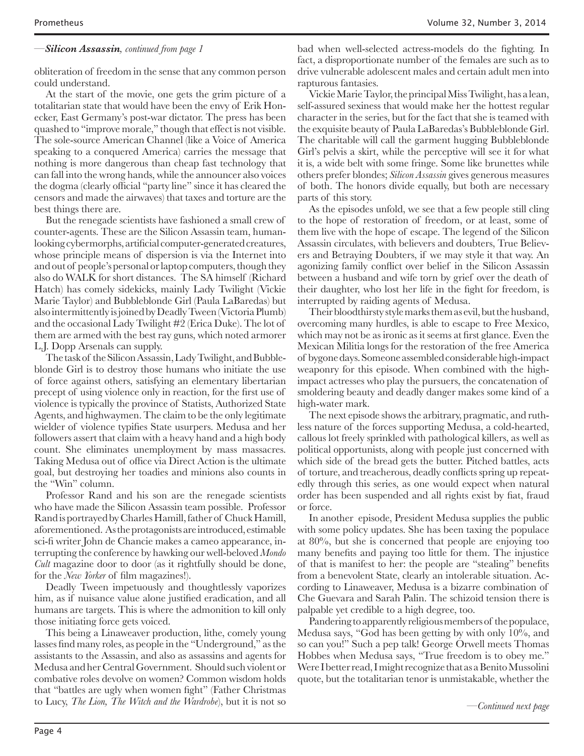### *—Silicon Assassin, continued from page 1*

obliteration of freedom in the sense that any common person could understand.

At the start of the movie, one gets the grim picture of a totalitarian state that would have been the envy of Erik Honecker, East Germany's post-war dictator. The press has been quashed to "improve morale," though that effect is not visible. The sole-source American Channel (like a Voice of America speaking to a conquered America) carries the message that nothing is more dangerous than cheap fast technology that can fall into the wrong hands, while the announcer also voices the dogma (clearly official "party line" since it has cleared the censors and made the airwaves) that taxes and torture are the best things there are.

But the renegade scientists have fashioned a small crew of counter-agents. These are the Silicon Assassin team, humanlooking cybermorphs, artificial computer-generated creatures, whose principle means of dispersion is via the Internet into and out of people's personal or laptop computers, though they also do WALK for short distances. The SA himself (Richard Hatch) has comely sidekicks, mainly Lady Twilight (Vickie Marie Taylor) and Bubbleblonde Girl (Paula LaBaredas) but also intermittently is joined by Deadly Tween (Victoria Plumb) and the occasional Lady Twilight #2 (Erica Duke). The lot of them are armed with the best ray guns, which noted armorer L.J. Dopp Arsenals can supply.

The task of the Silicon Assassin, Lady Twilight, and Bubbleblonde Girl is to destroy those humans who initiate the use of force against others, satisfying an elementary libertarian precept of using violence only in reaction, for the first use of violence is typically the province of Statists, Authorized State Agents, and highwaymen. The claim to be the only legitimate wielder of violence typifies State usurpers. Medusa and her followers assert that claim with a heavy hand and a high body count. She eliminates unemployment by mass massacres. Taking Medusa out of office via Direct Action is the ultimate goal, but destroying her toadies and minions also counts in the "Win" column.

Professor Rand and his son are the renegade scientists who have made the Silicon Assassin team possible. Professor Rand is portrayed by Charles Hamill, father of Chuck Hamill, aforementioned. As the protagonists are introduced, estimable sci-fi writer John de Chancie makes a cameo appearance, interrupting the conference by hawking our well-beloved *Mondo Cult* magazine door to door (as it rightfully should be done, for the *New Yorker* of film magazines!).

Deadly Tween impetuously and thoughtlessly vaporizes him, as if nuisance value alone justified eradication, and all humans are targets. This is where the admonition to kill only those initiating force gets voiced.

This being a Linaweaver production, lithe, comely young lasses find many roles, as people in the "Underground," as the assistants to the Assassin, and also as assassins and agents for Medusa and her Central Government. Should such violent or combative roles devolve on women? Common wisdom holds that "battles are ugly when women fight" (Father Christmas to Lucy, *The Lion, The Witch and the Wardrobe*), but it is not so

bad when well-selected actress-models do the fighting. In fact, a disproportionate number of the females are such as to drive vulnerable adolescent males and certain adult men into rapturous fantasies.

Vickie Marie Taylor, the principal Miss Twilight, has a lean, self-assured sexiness that would make her the hottest regular character in the series, but for the fact that she is teamed with the exquisite beauty of Paula LaBaredas's Bubbleblonde Girl. The charitable will call the garment hugging Bubbleblonde Girl's pelvis a skirt, while the perceptive will see it for what it is, a wide belt with some fringe. Some like brunettes while others prefer blondes; *Silicon Assassin* gives generous measures of both. The honors divide equally, but both are necessary parts of this story.

As the episodes unfold, we see that a few people still cling to the hope of restoration of freedom, or at least, some of them live with the hope of escape. The legend of the Silicon Assassin circulates, with believers and doubters, True Believers and Betraying Doubters, if we may style it that way. An agonizing family conflict over belief in the Silicon Assassin between a husband and wife torn by grief over the death of their daughter, who lost her life in the fight for freedom, is interrupted by raiding agents of Medusa.

Their bloodthirsty style marks them as evil, but the husband, overcoming many hurdles, is able to escape to Free Mexico, which may not be as ironic as it seems at first glance. Even the Mexican Militia longs for the restoration of the free America of bygone days. Someone assembled considerable high-impact weaponry for this episode. When combined with the highimpact actresses who play the pursuers, the concatenation of smoldering beauty and deadly danger makes some kind of a high-water mark.

The next episode shows the arbitrary, pragmatic, and ruthless nature of the forces supporting Medusa, a cold-hearted, callous lot freely sprinkled with pathological killers, as well as political opportunists, along with people just concerned with which side of the bread gets the butter. Pitched battles, acts of torture, and treacherous, deadly conflicts spring up repeatedly through this series, as one would expect when natural order has been suspended and all rights exist by fiat, fraud or force.

In another episode, President Medusa supplies the public with some policy updates. She has been taxing the populace at 80%, but she is concerned that people are enjoying too many benefits and paying too little for them. The injustice of that is manifest to her: the people are "stealing" benefits from a benevolent State, clearly an intolerable situation. According to Linaweaver, Medusa is a bizarre combination of Che Guevara and Sarah Palin. The schizoid tension there is palpable yet credible to a high degree, too.

Pandering to apparently religious members of the populace, Medusa says, "God has been getting by with only 10%, and so can you!" Such a pep talk! George Orwell meets Thomas Hobbes when Medusa says, "True freedom is to obey me." Were I better read, I might recognize that as a Benito Mussolini quote, but the totalitarian tenor is unmistakable, whether the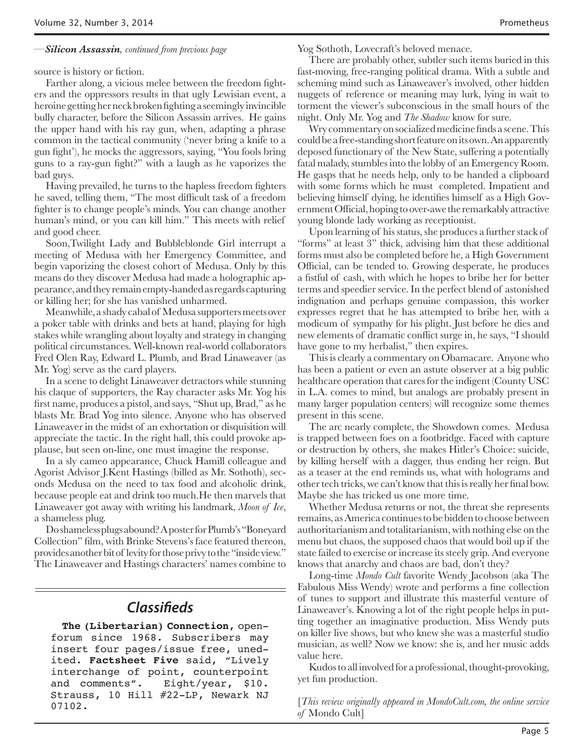#### *—Silicon Assassin, continued from previous page*

source is history or fiction.

Farther along, a vicious melee between the freedom fighters and the oppressors results in that ugly Lewisian event, a heroine getting her neck broken fighting a seemingly invincible bully character, before the Silicon Assassin arrives. He gains the upper hand with his ray gun, when, adapting a phrase common in the tactical community ('never bring a knife to a gun fight'), he mocks the aggressors, saying, "You fools bring guns to a ray-gun fight?" with a laugh as he vaporizes the bad guys.

Having prevailed, he turns to the hapless freedom fighters he saved, telling them, "The most difficult task of a freedom fighter is to change people's minds. You can change another human's mind, or you can kill him." This meets with relief and good cheer.

Soon,Twilight Lady and Bubbleblonde Girl interrupt a meeting of Medusa with her Emergency Committee, and begin vaporizing the closest cohort of Medusa. Only by this means do they discover Medusa had made a holographic appearance, and they remain empty-handed as regards capturing or killing her; for she has vanished unharmed.

Meanwhile, a shady cabal of Medusa supporters meets over a poker table with drinks and bets at hand, playing for high stakes while wrangling about loyalty and strategy in changing political circumstances. Well-known real-world collaborators Fred Olen Ray, Edward L. Plumb, and Brad Linaweaver (as Mr. Yog) serve as the card players.

In a scene to delight Linaweaver detractors while stunning his claque of supporters, the Ray character asks Mr. Yog his first name, produces a pistol, and says, "Shut up, Brad," as he blasts Mr. Brad Yog into silence. Anyone who has observed Linaweaver in the midst of an exhortation or disquisition will appreciate the tactic. In the right hall, this could provoke applause, but seen on-line, one must imagine the response.

In a sly cameo appearance, Chuck Hamill colleague and Agorist Advisor J.Kent Hastings (billed as Mr. Sothoth), seconds Medusa on the need to tax food and alcoholic drink, because people eat and drink too much.He then marvels that Linaweaver got away with writing his landmark, *Moon of Ice*, a shameless plug.

Do shameless plugs abound? A poster for Plumb's "Boneyard Collection" film, with Brinke Stevens's face featured thereon, provides another bit of levity for those privy to the "inside view." The Linaweaver and Hastings characters' names combine to

# **Classifieds**

**The (Libertarian) Connection**, openforum since 1968. Subscribers may insert four pages/issue free, unedited. **Factsheet Five** said, "Lively interchange of point, counterpoint<br>and comments". Eight/year, \$10. Eight/year, \$10. Strauss, 10 Hill #22-LP, Newark NJ 07102.

Yog Sothoth, Lovecraft's beloved menace.

There are probably other, subtler such items buried in this fast-moving, free-ranging political drama. With a subtle and scheming mind such as Linaweaver's involved, other hidden nuggets of reference or meaning may lurk, lying in wait to torment the viewer's subconscious in the small hours of the night. Only Mr. Yog and *The Shadow* know for sure.

Wry commentary on socialized medicine finds a scene. This could be a free-standing short feature on its own. An apparently deposed functionary of the New State, suffering a potentially fatal malady, stumbles into the lobby of an Emergency Room. He gasps that he needs help, only to be handed a clipboard with some forms which he must completed. Impatient and believing himself dying, he identifies himself as a High Government Official, hoping to over-awe the remarkably attractive young blonde lady working as receptionist.

Upon learning of his status, she produces a further stack of "forms" at least 3" thick, advising him that these additional forms must also be completed before he, a High Government Official, can be tended to. Growing desperate, he produces a fistful of cash, with which he hopes to bribe her for better terms and speedier service. In the perfect blend of astonished indignation and perhaps genuine compassion, this worker expresses regret that he has attempted to bribe her, with a modicum of sympathy for his plight. Just before he dies and new elements of dramatic conflict surge in, he says, "I should have gone to my herbalist," then expires.

This is clearly a commentary on Obamacare. Anyone who has been a patient or even an astute observer at a big public healthcare operation that cares for the indigent (County USC in L.A. comes to mind, but analogs are probably present in many larger population centers) will recognize some themes present in this scene.

The arc nearly complete, the Showdown comes. Medusa is trapped between foes on a footbridge. Faced with capture or destruction by others, she makes Hitler's Choice: suicide, by killing herself with a dagger, thus ending her reign. But as a teaser at the end reminds us, what with holograms and other tech tricks, we can't know that this is really her final bow. Maybe she has tricked us one more time.

Whether Medusa returns or not, the threat she represents remains, as America continues to be bidden to choose between authoritarianism and totalitarianism, with nothing else on the menu but chaos, the supposed chaos that would boil up if the state failed to exercise or increase its steely grip. And everyone knows that anarchy and chaos are bad, don't they?

Long-time *Mondo Cult* favorite Wendy Jacobson (aka The Fabulous Miss Wendy) wrote and performs a fine collection of tunes to support and illustrate this masterful venture of Linaweaver's. Knowing a lot of the right people helps in putting together an imaginative production. Miss Wendy puts on killer live shows, but who knew she was a masterful studio musician, as well? Now we know: she is, and her music adds value here.

Kudos to all involved for a professional, thought-provoking, yet fun production.

[*This review originally appeared in MondoCult.com, the online service of* Mondo Cult]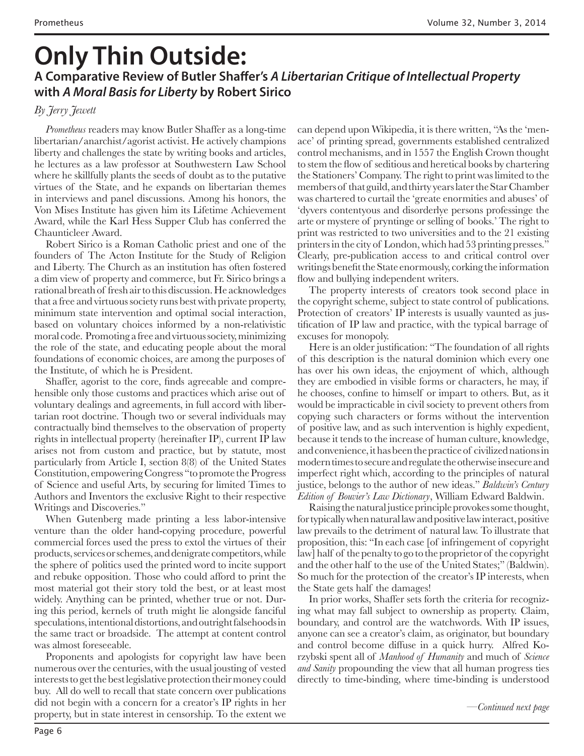# **Only Thin Outside:**

# **A Comparative Review of Butler Shaffer's A Libertarian Critique of Intellectual Property with A Moral Basis for Liberty by Robert Sirico**

# *By Jerry Jewett*

*Prometheus* readers may know Butler Shaffer as a long-time libertarian/anarchist/agorist activist. He actively champions liberty and challenges the state by writing books and articles, he lectures as a law professor at Southwestern Law School where he skillfully plants the seeds of doubt as to the putative virtues of the State, and he expands on libertarian themes in interviews and panel discussions. Among his honors, the Von Mises Institute has given him its Lifetime Achievement Award, while the Karl Hess Supper Club has conferred the Chaunticleer Award.

Robert Sirico is a Roman Catholic priest and one of the founders of The Acton Institute for the Study of Religion and Liberty. The Church as an institution has often fostered a dim view of property and commerce, but Fr. Sirico brings a rational breath of fresh air to this discussion. He acknowledges that a free and virtuous society runs best with private property, minimum state intervention and optimal social interaction, based on voluntary choices informed by a non-relativistic moral code. Promoting a free and virtuous society, minimizing the role of the state, and educating people about the moral foundations of economic choices, are among the purposes of the Institute, of which he is President.

Shaffer, agorist to the core, finds agreeable and comprehensible only those customs and practices which arise out of voluntary dealings and agreements, in full accord with libertarian root doctrine. Though two or several individuals may contractually bind themselves to the observation of property rights in intellectual property (hereinafter IP), current IP law arises not from custom and practice, but by statute, most particularly from Article I, section 8(8) of the United States Constitution, empowering Congress "to promote the Progress of Science and useful Arts, by securing for limited Times to Authors and Inventors the exclusive Right to their respective Writings and Discoveries."

When Gutenberg made printing a less labor-intensive venture than the older hand-copying procedure, powerful commercial forces used the press to extol the virtues of their products, services or schemes, and denigrate competitors, while the sphere of politics used the printed word to incite support and rebuke opposition. Those who could afford to print the most material got their story told the best, or at least most widely. Anything can be printed, whether true or not. During this period, kernels of truth might lie alongside fanciful speculations, intentional distortions, and outright falsehoods in the same tract or broadside. The attempt at content control was almost foreseeable.

Proponents and apologists for copyright law have been numerous over the centuries, with the usual jousting of vested interests to get the best legislative protection their money could buy. All do well to recall that state concern over publications did not begin with a concern for a creator's IP rights in her property, but in state interest in censorship. To the extent we

can depend upon Wikipedia, it is there written, "As the 'menace' of printing spread, governments established centralized control mechanisms, and in 1557 the English Crown thought to stem the flow of seditious and heretical books by chartering the Stationers' Company. The right to print was limited to the members of that guild, and thirty years later the Star Chamber was chartered to curtail the 'greate enormities and abuses' of 'dyvers contentyous and disorderlye persons professinge the arte or mystere of pryntinge or selling of books.' The right to print was restricted to two universities and to the 21 existing printers in the city of London, which had 53 printing presses." Clearly, pre-publication access to and critical control over writings benefit the State enormously, corking the information flow and bullying independent writers.

The property interests of creators took second place in the copyright scheme, subject to state control of publications. Protection of creators' IP interests is usually vaunted as justification of IP law and practice, with the typical barrage of excuses for monopoly.

Here is an older justification: "The foundation of all rights of this description is the natural dominion which every one has over his own ideas, the enjoyment of which, although they are embodied in visible forms or characters, he may, if he chooses, confine to himself or impart to others. But, as it would be impracticable in civil society to prevent others from copying such characters or forms without the intervention of positive law, and as such intervention is highly expedient, because it tends to the increase of human culture, knowledge, and convenience, it has been the practice of civilized nations in modern times to secure and regulate the otherwise insecure and imperfect right which, according to the principles of natural justice, belongs to the author of new ideas." *Baldwin's Century Edition of Bouvier's Law Dictionary*, William Edward Baldwin.

Raising the natural justice principle provokes some thought, for typically when natural law and positive law interact, positive law prevails to the detriment of natural law. To illustrate that proposition, this: "In each case [of infringement of copyright law] half of the penalty to go to the proprietor of the copyright and the other half to the use of the United States;" (Baldwin). So much for the protection of the creator's IP interests, when the State gets half the damages!

In prior works, Shaffer sets forth the criteria for recognizing what may fall subject to ownership as property. Claim, boundary, and control are the watchwords. With IP issues, anyone can see a creator's claim, as originator, but boundary and control become diffuse in a quick hurry. Alfred Korzybski spent all of *Manhood of Humanity* and much of *Science and Sanity* propounding the view that all human progress ties directly to time-binding, where time-binding is understood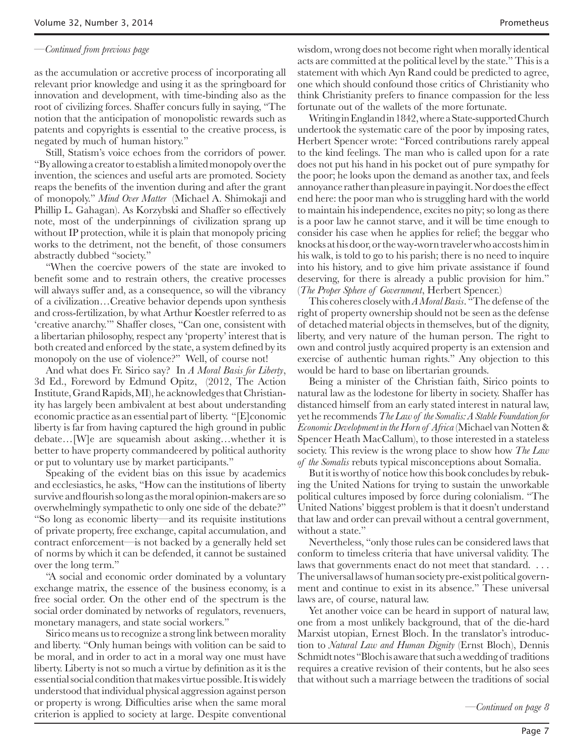#### *—Continued from previous page*

as the accumulation or accretive process of incorporating all relevant prior knowledge and using it as the springboard for innovation and development, with time-binding also as the root of civilizing forces. Shaffer concurs fully in saying, "The notion that the anticipation of monopolistic rewards such as patents and copyrights is essential to the creative process, is negated by much of human history."

Still, Statism's voice echoes from the corridors of power. "By allowing a creator to establish a limited monopoly over the invention, the sciences and useful arts are promoted. Society reaps the benefits of the invention during and after the grant of monopoly." *Mind Over Matter* (Michael A. Shimokaji and Phillip L. Gahagan). As Korzybski and Shaffer so effectively note, most of the underpinnings of civilization sprang up without IP protection, while it is plain that monopoly pricing works to the detriment, not the benefit, of those consumers abstractly dubbed "society."

"When the coercive powers of the state are invoked to benefit some and to restrain others, the creative processes will always suffer and, as a consequence, so will the vibrancy of a civilization…Creative behavior depends upon synthesis and cross-fertilization, by what Arthur Koestler referred to as 'creative anarchy.'" Shaffer closes, "Can one, consistent with a libertarian philosophy, respect any 'property' interest that is both created and enforced by the state, a system defined by its monopoly on the use of violence?" Well, of course not!

And what does Fr. Sirico say? In *A Moral Basis for Liberty*, 3d Ed., Foreword by Edmund Opitz, (2012, The Action Institute, Grand Rapids, MI), he acknowledges that Christianity has largely been ambivalent at best about understanding economic practice as an essential part of liberty. "[E]conomic liberty is far from having captured the high ground in public debate…[W]e are squeamish about asking…whether it is better to have property commandeered by political authority or put to voluntary use by market participants."

Speaking of the evident bias on this issue by academics and ecclesiastics, he asks, "How can the institutions of liberty survive and flourish so long as the moral opinion-makers are so overwhelmingly sympathetic to only one side of the debate?" "So long as economic liberty—and its requisite institutions of private property, free exchange, capital accumulation, and contract enforcement—is not backed by a generally held set of norms by which it can be defended, it cannot be sustained over the long term."

"A social and economic order dominated by a voluntary exchange matrix, the essence of the business economy, is a free social order. On the other end of the spectrum is the social order dominated by networks of regulators, revenuers, monetary managers, and state social workers."

Sirico means us to recognize a strong link between morality and liberty. "Only human beings with volition can be said to be moral, and in order to act in a moral way one must have liberty. Liberty is not so much a virtue by definition as it is the essential social condition that makes virtue possible. It is widely understood that individual physical aggression against person or property is wrong. Difficulties arise when the same moral criterion is applied to society at large. Despite conventional

wisdom, wrong does not become right when morally identical acts are committed at the political level by the state." This is a statement with which Ayn Rand could be predicted to agree, one which should confound those critics of Christianity who think Christianity prefers to finance compassion for the less fortunate out of the wallets of the more fortunate.

Writing in England in 1842, where a State-supported Church undertook the systematic care of the poor by imposing rates, Herbert Spencer wrote: "Forced contributions rarely appeal to the kind feelings. The man who is called upon for a rate does not put his hand in his pocket out of pure sympathy for the poor; he looks upon the demand as another tax, and feels annoyance rather than pleasure in paying it. Nor does the effect end here: the poor man who is struggling hard with the world to maintain his independence, excites no pity; so long as there is a poor law he cannot starve, and it will be time enough to consider his case when he applies for relief; the beggar who knocks at his door, or the way-worn traveler who accosts him in his walk, is told to go to his parish; there is no need to inquire into his history, and to give him private assistance if found deserving, for there is already a public provision for him." (*The Proper Sphere of Government*, Herbert Spencer.)

This coheres closely with *A Moral Basis*. "The defense of the right of property ownership should not be seen as the defense of detached material objects in themselves, but of the dignity, liberty, and very nature of the human person. The right to own and control justly acquired property is an extension and exercise of authentic human rights." Any objection to this would be hard to base on libertarian grounds.

Being a minister of the Christian faith, Sirico points to natural law as the lodestone for liberty in society. Shaffer has distanced himself from an early stated interest in natural law, yet he recommends *The Law of the Somalis: A Stable Foundation for Economic Development in the Horn of Africa* (Michael van Notten & Spencer Heath MacCallum), to those interested in a stateless society. This review is the wrong place to show how *The Law of the Somalis* rebuts typical misconceptions about Somalia.

But it is worthy of notice how this book concludes by rebuking the United Nations for trying to sustain the unworkable political cultures imposed by force during colonialism. "The United Nations' biggest problem is that it doesn't understand that law and order can prevail without a central government, without a state."

Nevertheless, "only those rules can be considered laws that conform to timeless criteria that have universal validity. The laws that governments enact do not meet that standard. . . . The universal laws of human society pre-exist political government and continue to exist in its absence." These universal laws are, of course, natural law.

Yet another voice can be heard in support of natural law, one from a most unlikely background, that of the die-hard Marxist utopian, Ernest Bloch. In the translator's introduction to *Natural Law and Human Dignity* (Ernst Bloch), Dennis Schmidt notes "Bloch is aware that such a wedding of traditions requires a creative revision of their contents, but he also sees that without such a marriage between the traditions of social

*—Continued on page 8*